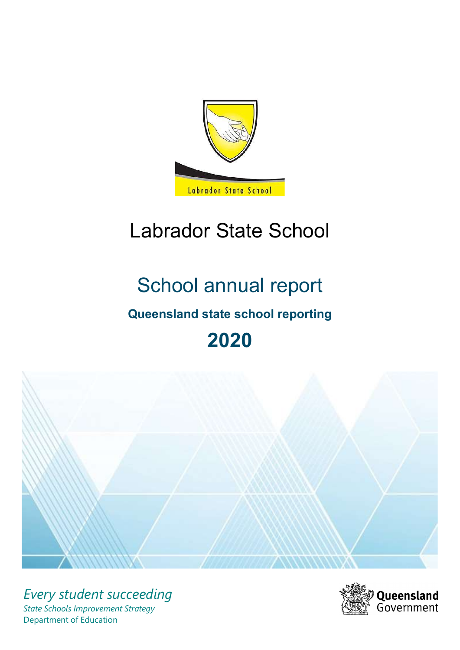

# Labrador State School

# School annual report

# Queensland state school reporting

# 2020



Every student succeeding State Schools Improvement Strategy Department of Education

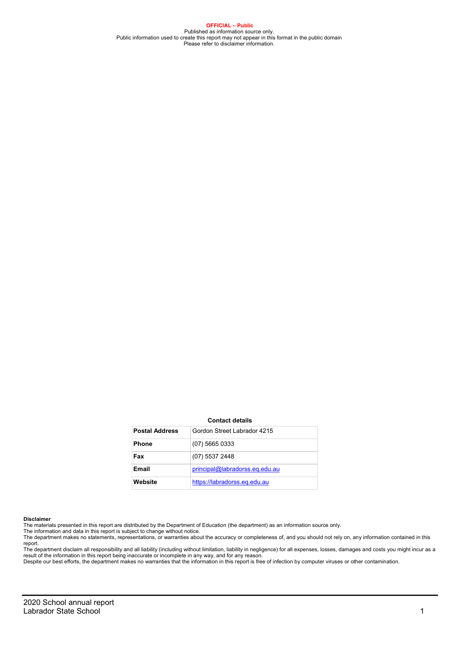OFFICIAL – Public Published as information source only.<br>Public information used to create this report may not appear in this format in the public domain<br>Please refer to disclaimer information.

#### Contact details

| <b>Postal Address</b> | Gordon Street Labrador 4215    |
|-----------------------|--------------------------------|
| <b>Phone</b>          | $(07)$ 5665 0333               |
| Fax                   | (07) 5537 2448                 |
| Email                 | principal@labradorss.eq.edu.au |
| Website               | https://labradorss.eg.edu.au   |

#### Disclaimer

The materials presented in this report are distributed by the Department of Education (the department) as an information source only. The information and data in this report is subject to change without notice.

The department makes no statements, representations, or warranties about the accuracy or completeness of, and you should not rely on, any information contained in this report.

The department disclaim all responsibility and all liability (including without limitation, liability in negligence) for all expenses, losses, damages and costs you might incur as a<br>result of the information in this report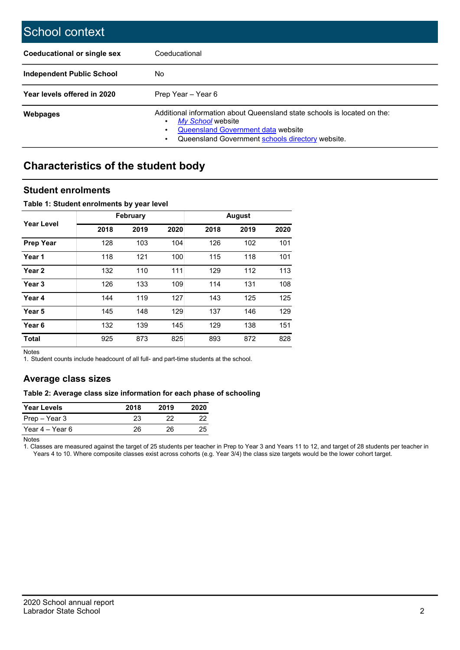| School context                     |                                                                                                                                                                                         |
|------------------------------------|-----------------------------------------------------------------------------------------------------------------------------------------------------------------------------------------|
| <b>Coeducational or single sex</b> | Coeducational                                                                                                                                                                           |
| <b>Independent Public School</b>   | No                                                                                                                                                                                      |
| Year levels offered in 2020        | Prep Year - Year 6                                                                                                                                                                      |
| <b>Webpages</b>                    | Additional information about Queensland state schools is located on the:<br>My School website<br>Queensland Government data website<br>Queensland Government schools directory website. |

## Characteristics of the student body

### Student enrolments

#### Table 1: Student enrolments by year level

|                   |      | <b>February</b> |      |      | <b>August</b> |      |
|-------------------|------|-----------------|------|------|---------------|------|
| Year Level        | 2018 | 2019            | 2020 | 2018 | 2019          | 2020 |
| <b>Prep Year</b>  | 128  | 103             | 104  | 126  | 102           | 101  |
| Year 1            | 118  | 121             | 100  | 115  | 118           | 101  |
| Year <sub>2</sub> | 132  | 110             | 111  | 129  | 112           | 113  |
| Year <sub>3</sub> | 126  | 133             | 109  | 114  | 131           | 108  |
| Year 4            | 144  | 119             | 127  | 143  | 125           | 125  |
| Year 5            | 145  | 148             | 129  | 137  | 146           | 129  |
| Year <sub>6</sub> | 132  | 139             | 145  | 129  | 138           | 151  |
| <b>Total</b>      | 925  | 873             | 825  | 893  | 872           | 828  |

Notes

1. Student counts include headcount of all full- and part-time students at the school.

### Average class sizes

#### Table 2: Average class size information for each phase of schooling

| <b>Year Levels</b> | 2018 | 2019 | 2020 |
|--------------------|------|------|------|
| Prep – Year 3      | 23   |      | 22   |
| Year 4 – Year 6    | 26   | 26.  | 25   |

Notes

1. Classes are measured against the target of 25 students per teacher in Prep to Year 3 and Years 11 to 12, and target of 28 students per teacher in Years 4 to 10. Where composite classes exist across cohorts (e.g. Year 3/4) the class size targets would be the lower cohort target.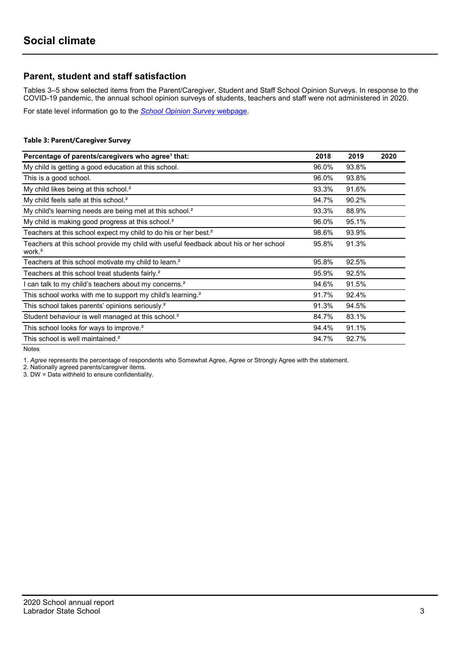## Parent, student and staff satisfaction

Tables 3–5 show selected items from the Parent/Caregiver, Student and Staff School Opinion Surveys. In response to the COVID-19 pandemic, the annual school opinion surveys of students, teachers and staff were not administered in 2020.

For state level information go to the School Opinion Survey webpage.

#### Table 3: Parent/Caregiver Survey

| Percentage of parents/caregivers who agree <sup>1</sup> that:                                               | 2018  | 2019  | 2020 |
|-------------------------------------------------------------------------------------------------------------|-------|-------|------|
| My child is getting a good education at this school.                                                        | 96.0% | 93.8% |      |
| This is a good school.                                                                                      | 96.0% | 93.8% |      |
| My child likes being at this school. <sup>2</sup>                                                           | 93.3% | 91.6% |      |
| My child feels safe at this school. <sup>2</sup>                                                            | 94.7% | 90.2% |      |
| My child's learning needs are being met at this school. <sup>2</sup>                                        | 93.3% | 88.9% |      |
| My child is making good progress at this school. <sup>2</sup>                                               | 96.0% | 95.1% |      |
| Teachers at this school expect my child to do his or her best. <sup>2</sup>                                 | 98.6% | 93.9% |      |
| Teachers at this school provide my child with useful feedback about his or her school<br>work. <sup>2</sup> | 95.8% | 91.3% |      |
| Teachers at this school motivate my child to learn. <sup>2</sup>                                            | 95.8% | 92.5% |      |
| Teachers at this school treat students fairly. <sup>2</sup>                                                 | 95.9% | 92.5% |      |
| I can talk to my child's teachers about my concerns. <sup>2</sup>                                           | 94.6% | 91.5% |      |
| This school works with me to support my child's learning. <sup>2</sup>                                      | 91.7% | 92.4% |      |
| This school takes parents' opinions seriously. <sup>2</sup>                                                 | 91.3% | 94.5% |      |
| Student behaviour is well managed at this school. <sup>2</sup>                                              | 84.7% | 83.1% |      |
| This school looks for ways to improve. <sup>2</sup>                                                         | 94.4% | 91.1% |      |
| This school is well maintained. <sup>2</sup>                                                                | 94.7% | 92.7% |      |

Notes

1. Agree represents the percentage of respondents who Somewhat Agree, Agree or Strongly Agree with the statement.

2. Nationally agreed parents/caregiver items.

3. DW = Data withheld to ensure confidentiality.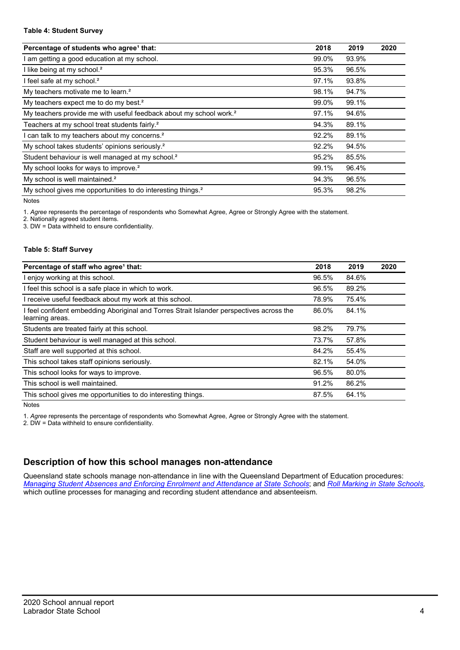#### Table 4: Student Survey

| Percentage of students who agree <sup>1</sup> that:                            | 2018  | 2019  | 2020 |
|--------------------------------------------------------------------------------|-------|-------|------|
| am getting a good education at my school.                                      | 99.0% | 93.9% |      |
| I like being at my school. <sup>2</sup>                                        | 95.3% | 96.5% |      |
| I feel safe at my school. <sup>2</sup>                                         | 97.1% | 93.8% |      |
| My teachers motivate me to learn. <sup>2</sup>                                 | 98.1% | 94.7% |      |
| My teachers expect me to do my best. <sup>2</sup>                              | 99.0% | 99.1% |      |
| My teachers provide me with useful feedback about my school work. <sup>2</sup> | 97.1% | 94.6% |      |
| Teachers at my school treat students fairly. <sup>2</sup>                      | 94.3% | 89.1% |      |
| can talk to my teachers about my concerns. <sup>2</sup>                        | 92.2% | 89.1% |      |
| My school takes students' opinions seriously. <sup>2</sup>                     | 92.2% | 94.5% |      |
| Student behaviour is well managed at my school. <sup>2</sup>                   | 95.2% | 85.5% |      |
| My school looks for ways to improve. <sup>2</sup>                              | 99.1% | 96.4% |      |
| My school is well maintained. <sup>2</sup>                                     | 94.3% | 96.5% |      |
| My school gives me opportunities to do interesting things. <sup>2</sup>        | 95.3% | 98.2% |      |

Notes

1. Agree represents the percentage of respondents who Somewhat Agree, Agree or Strongly Agree with the statement.

2. Nationally agreed student items.

3. DW = Data withheld to ensure confidentiality.

#### Table 5: Staff Survey

| Percentage of staff who agree <sup>1</sup> that:                                                            | 2018  | 2019  | 2020 |
|-------------------------------------------------------------------------------------------------------------|-------|-------|------|
| I enjoy working at this school.                                                                             | 96.5% | 84.6% |      |
| I feel this school is a safe place in which to work.                                                        | 96.5% | 89.2% |      |
| I receive useful feedback about my work at this school.                                                     | 78.9% | 75.4% |      |
| I feel confident embedding Aboriginal and Torres Strait Islander perspectives across the<br>learning areas. | 86.0% | 84.1% |      |
| Students are treated fairly at this school.                                                                 | 98.2% | 79.7% |      |
| Student behaviour is well managed at this school.                                                           | 73.7% | 57.8% |      |
| Staff are well supported at this school.                                                                    | 84.2% | 55.4% |      |
| This school takes staff opinions seriously.                                                                 | 82.1% | 54.0% |      |
| This school looks for ways to improve.                                                                      | 96.5% | 80.0% |      |
| This school is well maintained.                                                                             | 91.2% | 86.2% |      |
| This school gives me opportunities to do interesting things.                                                | 87.5% | 64.1% |      |

Notes

1. Agree represents the percentage of respondents who Somewhat Agree, Agree or Strongly Agree with the statement.

2. DW = Data withheld to ensure confidentiality.

## Description of how this school manages non-attendance

Queensland state schools manage non-attendance in line with the Queensland Department of Education procedures: Managing Student Absences and Enforcing Enrolment and Attendance at State Schools; and Roll Marking in State Schools, which outline processes for managing and recording student attendance and absenteeism.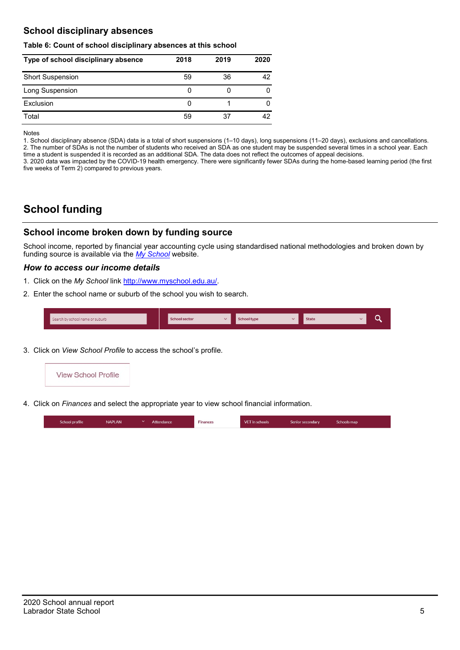## School disciplinary absences

#### Table 6: Count of school disciplinary absences at this school

| Type of school disciplinary absence | 2018 | 2019 | 2020 |
|-------------------------------------|------|------|------|
| <b>Short Suspension</b>             | 59   | 36   | 42   |
| Long Suspension                     | O    |      |      |
| Exclusion                           | 0    |      |      |
| Total                               | 59   | 37   | 42   |

Notes

1. School disciplinary absence (SDA) data is a total of short suspensions (1–10 days), long suspensions (11–20 days), exclusions and cancellations. 2. The number of SDAs is not the number of students who received an SDA as one student may be suspended several times in a school year. Each time a student is suspended it is recorded as an additional SDA. The data does not reflect the outcomes of appeal decisions.

3. 2020 data was impacted by the COVID-19 health emergency. There were significantly fewer SDAs during the home-based learning period (the first five weeks of Term 2) compared to previous years.

# School funding

## School income broken down by funding source

School income, reported by financial year accounting cycle using standardised national methodologies and broken down by funding source is available via the  $My$  School website.

#### How to access our income details

- 1. Click on the My School link http://www.myschool.edu.au/.
- 2. Enter the school name or suburb of the school you wish to search.

| Search by school name or suburb | <b>School sector</b> | <b>School type</b><br>$\overline{\phantom{a}}$ | <b>State</b> | ∽ |
|---------------------------------|----------------------|------------------------------------------------|--------------|---|
|                                 |                      |                                                |              |   |

3. Click on View School Profile to access the school's profile.



4. Click on Finances and select the appropriate year to view school financial information.

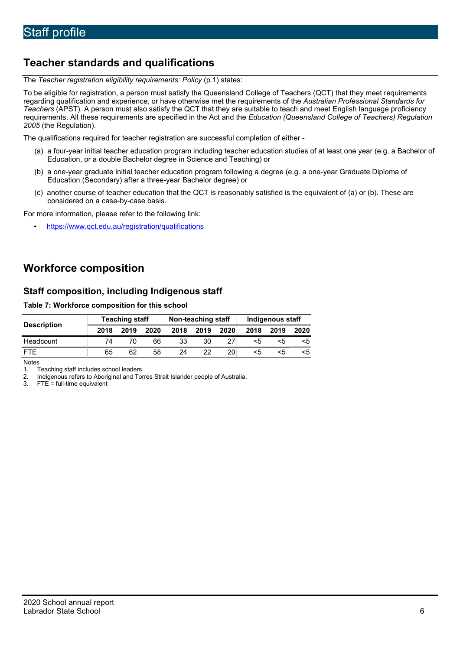# Teacher standards and qualifications

The Teacher registration eligibility requirements: Policy (p.1) states:

To be eligible for registration, a person must satisfy the Queensland College of Teachers (QCT) that they meet requirements regarding qualification and experience, or have otherwise met the requirements of the Australian Professional Standards for Teachers (APST). A person must also satisfy the QCT that they are suitable to teach and meet English language proficiency requirements. All these requirements are specified in the Act and the Education (Queensland College of Teachers) Regulation 2005 (the Regulation).

The qualifications required for teacher registration are successful completion of either -

- (a) a four-year initial teacher education program including teacher education studies of at least one year (e.g. a Bachelor of Education, or a double Bachelor degree in Science and Teaching) or
- (b) a one-year graduate initial teacher education program following a degree (e.g. a one-year Graduate Diploma of Education (Secondary) after a three-year Bachelor degree) or
- (c) another course of teacher education that the QCT is reasonably satisfied is the equivalent of (a) or (b). These are considered on a case-by-case basis.

For more information, please refer to the following link:

• https://www.qct.edu.au/registration/qualifications

# Workforce composition

## Staff composition, including Indigenous staff

#### Table 7: Workforce composition for this school

|                    | <b>Teaching staff</b> |      |      | Non-teaching staff |      |      | Indigenous staff |      |      |
|--------------------|-----------------------|------|------|--------------------|------|------|------------------|------|------|
| <b>Description</b> | 2018                  | 2019 | 2020 | 2018               | 2019 | 2020 | 2018             | 2019 | 2020 |
| Headcount          | 74                    |      | 66   | 33                 | 30   | 27   | <5               | <5   |      |
| <b>FTF</b>         | 65                    | 62   | 58   | 24                 | 22   | 20   | <5               | ה>   | <5   |

Notes

1. Teaching staff includes school leaders.<br>2. Indigenous refers to Aboriginal and Tor 2. Indigenous refers to Aboriginal and Torres Strait Islander people of Australia.<br>3. FTE = full-time equivalent

 $FTE = full-time equivalent$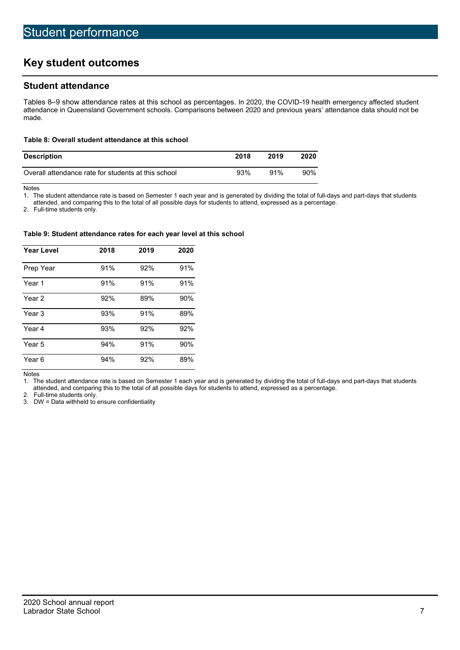# Key student outcomes

## Student attendance

Tables 8–9 show attendance rates at this school as percentages. In 2020, the COVID-19 health emergency affected student attendance in Queensland Government schools. Comparisons between 2020 and previous years' attendance data should not be made.

#### Table 8: Overall student attendance at this school

| <b>Description</b>                                  | 2018 | 2019 | 2020   |
|-----------------------------------------------------|------|------|--------|
| Overall attendance rate for students at this school | 93%  | 91%  | $90\%$ |

Notes

1. The student attendance rate is based on Semester 1 each year and is generated by dividing the total of full-days and part-days that students

attended, and comparing this to the total of all possible days for students to attend, expressed as a percentage.

2. Full-time students only.

#### Table 9: Student attendance rates for each year level at this school

| <b>Year Level</b> | 2018 | 2019 | 2020 |
|-------------------|------|------|------|
| Prep Year         | 91%  | 92%  | 91%  |
| Year 1            | 91%  | 91%  | 91%  |
| Year 2            | 92%  | 89%  | 90%  |
| Year 3            | 93%  | 91%  | 89%  |
| Year 4            | 93%  | 92%  | 92%  |
| Year 5            | 94%  | 91%  | 90%  |
| Year 6            | 94%  | 92%  | 89%  |

Notes

1. The student attendance rate is based on Semester 1 each year and is generated by dividing the total of full-days and part-days that students attended, and comparing this to the total of all possible days for students to attend, expressed as a percentage.

2. Full-time students only.

3. DW = Data withheld to ensure confidentiality